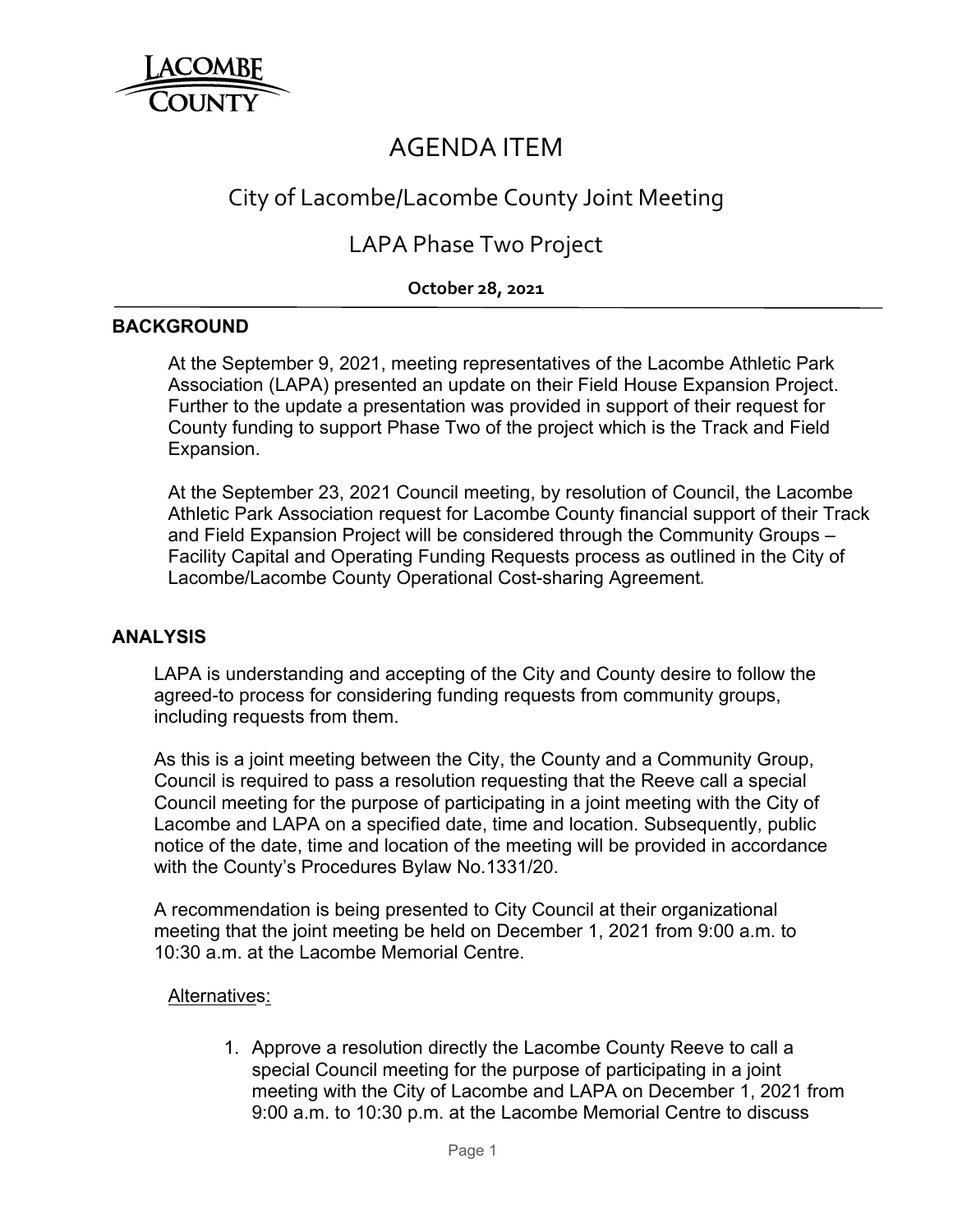

# AGENDA ITEM

# City of Lacombe/Lacombe County Joint Meeting

## LAPA Phase Two Project

### **October 28, 2021**

#### **BACKGROUND**

 At the September 9, 2021, meeting representatives of the Lacombe Athletic Park Association (LAPA) presented an update on their Field House Expansion Project. Further to the update a presentation was provided in support of their request for County funding to support Phase Two of the project which is the Track and Field Expansion.

 At the September 23, 2021 Council meeting, by resolution of Council, the Lacombe Athletic Park Association request for Lacombe County financial support of their Track and Field Expansion Project will be considered through the Community Groups – Facility Capital and Operating Funding Requests process as outlined in the City of Lacombe/Lacombe County Operational Cost-sharing Agreement*.*

### **ANALYSIS**

 LAPA is understanding and accepting of the City and County desire to follow the agreed-to process for considering funding requests from community groups, including requests from them.

As this is a joint meeting between the City, the County and a Community Group, Council is required to pass a resolution requesting that the Reeve call a special Council meeting for the purpose of participating in a joint meeting with the City of Lacombe and LAPA on a specified date, time and location. Subsequently, public notice of the date, time and location of the meeting will be provided in accordance with the County's Procedures Bylaw No.1331/20.

 A recommendation is being presented to City Council at their organizational meeting that the joint meeting be held on December 1, 2021 from 9:00 a.m. to 10:30 a.m. at the Lacombe Memorial Centre.

#### Alternatives:

1. Approve a resolution directly the Lacombe County Reeve to call a special Council meeting for the purpose of participating in a joint meeting with the City of Lacombe and LAPA on December 1, 2021 from 9:00 a.m. to 10:30 p.m. at the Lacombe Memorial Centre to discuss